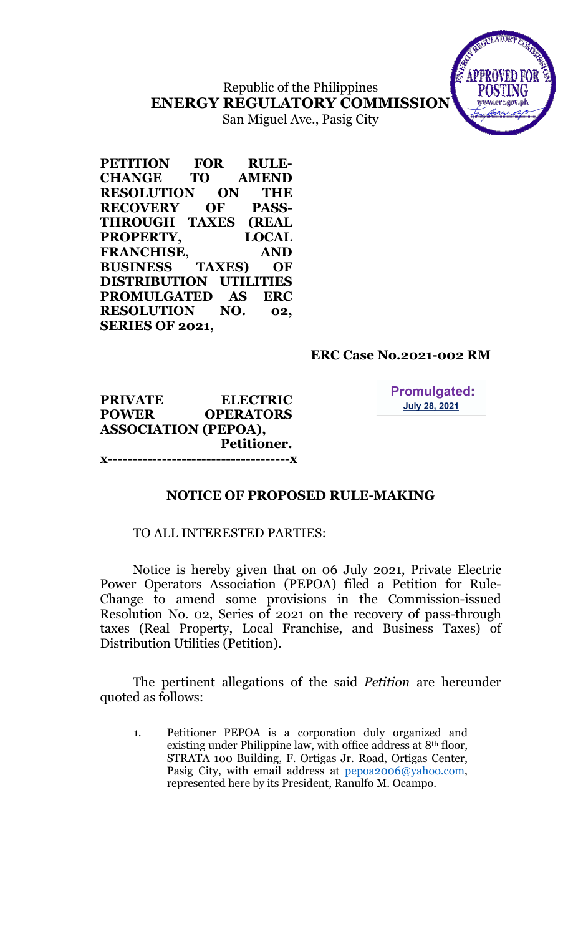Republic of the Philippines ENERGY REGULATORY COMMISSION San Miguel Ave., Pasig City



PETITION FOR RULE-CHANGE TO AMEND RESOLUTION ON THE RECOVERY OF PASS-THROUGH TAXES (REAL PROPERTY, LOCAL FRANCHISE, AND BUSINESS TAXES) OF DISTRIBUTION UTILITIES PROMULGATED AS ERC RESOLUTION NO. 02, SERIES OF 2021,

# ERC Case No.2021-002 RM

PRIVATE ELECTRIC POWER OPERATORS ASSOCIATION (PEPOA), Petitioner. x-------------------------------------x **Promulgated: July 28, 2021** 

NOTICE OF PROPOSED RULE-MAKING

### TO ALL INTERESTED PARTIES:

Notice is hereby given that on 06 July 2021, Private Electric Power Operators Association (PEPOA) filed a Petition for Rule-Change to amend some provisions in the Commission-issued Resolution No. 02, Series of 2021 on the recovery of pass-through taxes (Real Property, Local Franchise, and Business Taxes) of Distribution Utilities (Petition).

The pertinent allegations of the said Petition are hereunder quoted as follows:

1. Petitioner PEPOA is a corporation duly organized and existing under Philippine law, with office address at 8th floor, STRATA 100 Building, F. Ortigas Jr. Road, Ortigas Center, Pasig City, with email address at pepoa2006@yahoo.com, represented here by its President, Ranulfo M. Ocampo.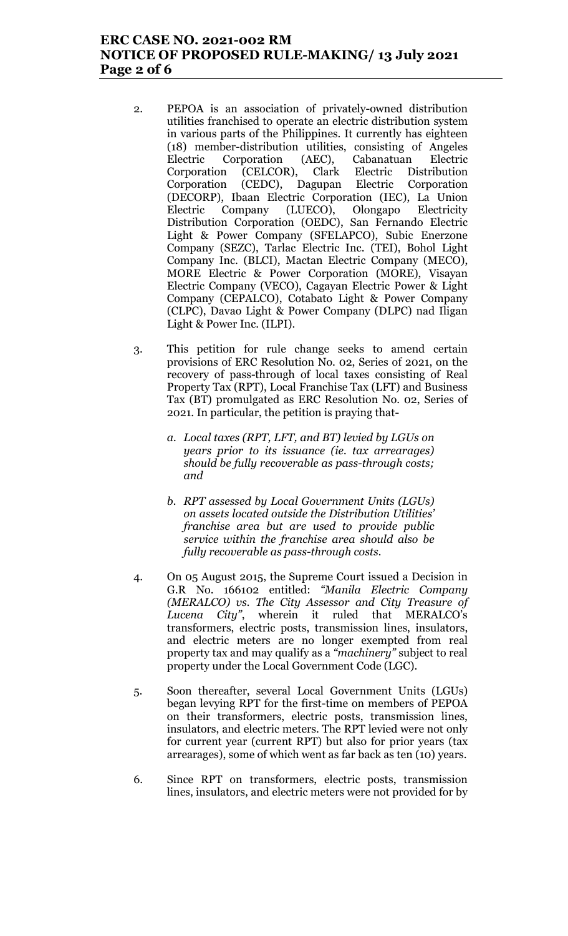## ERC CASE NO. 2021-002 RM NOTICE OF PROPOSED RULE-MAKING/ 13 July 2021 Page 2 of 6

- 2. PEPOA is an association of privately-owned distribution utilities franchised to operate an electric distribution system in various parts of the Philippines. It currently has eighteen (18) member-distribution utilities, consisting of Angeles Electric Corporation (AEC), Cabanatuan Electric Corporation (CELCOR), Clark Electric Distribution Corporation (CEDC), Dagupan Electric Corporation (DECORP), Ibaan Electric Corporation (IEC), La Union Electric Company (LUECO), Olongapo Electricity Distribution Corporation (OEDC), San Fernando Electric Light & Power Company (SFELAPCO), Subic Enerzone Company (SEZC), Tarlac Electric Inc. (TEI), Bohol Light Company Inc. (BLCI), Mactan Electric Company (MECO), MORE Electric & Power Corporation (MORE), Visayan Electric Company (VECO), Cagayan Electric Power & Light Company (CEPALCO), Cotabato Light & Power Company (CLPC), Davao Light & Power Company (DLPC) nad Iligan Light & Power Inc. (ILPI).
- 3. This petition for rule change seeks to amend certain provisions of ERC Resolution No. 02, Series of 2021, on the recovery of pass-through of local taxes consisting of Real Property Tax (RPT), Local Franchise Tax (LFT) and Business Tax (BT) promulgated as ERC Resolution No. 02, Series of 2021. In particular, the petition is praying that
	- a. Local taxes (RPT, LFT, and BT) levied by LGUs on years prior to its issuance (ie. tax arrearages) should be fully recoverable as pass-through costs; and
	- b. RPT assessed by Local Government Units (LGUs) on assets located outside the Distribution Utilities' franchise area but are used to provide public service within the franchise area should also be fully recoverable as pass-through costs.
- 4. On 05 August 2015, the Supreme Court issued a Decision in G.R No. 166102 entitled: "Manila Electric Company (MERALCO) vs. The City Assessor and City Treasure of Lucena City", wherein it ruled that MERALCO's transformers, electric posts, transmission lines, insulators, and electric meters are no longer exempted from real property tax and may qualify as a "machinery" subject to real property under the Local Government Code (LGC).
- 5. Soon thereafter, several Local Government Units (LGUs) began levying RPT for the first-time on members of PEPOA on their transformers, electric posts, transmission lines, insulators, and electric meters. The RPT levied were not only for current year (current RPT) but also for prior years (tax arrearages), some of which went as far back as ten (10) years.
- 6. Since RPT on transformers, electric posts, transmission lines, insulators, and electric meters were not provided for by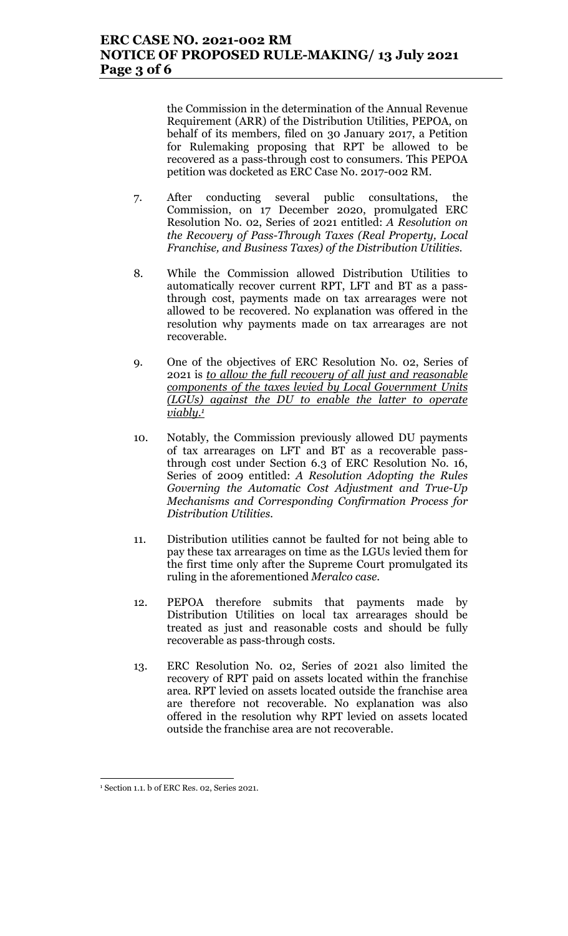the Commission in the determination of the Annual Revenue Requirement (ARR) of the Distribution Utilities, PEPOA, on behalf of its members, filed on 30 January 2017, a Petition for Rulemaking proposing that RPT be allowed to be recovered as a pass-through cost to consumers. This PEPOA petition was docketed as ERC Case No. 2017-002 RM.

- 7. After conducting several public consultations, the Commission, on 17 December 2020, promulgated ERC Resolution No. 02, Series of 2021 entitled: A Resolution on the Recovery of Pass-Through Taxes (Real Property, Local Franchise, and Business Taxes) of the Distribution Utilities.
- 8. While the Commission allowed Distribution Utilities to automatically recover current RPT, LFT and BT as a passthrough cost, payments made on tax arrearages were not allowed to be recovered. No explanation was offered in the resolution why payments made on tax arrearages are not recoverable.
- 9. One of the objectives of ERC Resolution No. 02, Series of 2021 is to allow the full recovery of all just and reasonable components of the taxes levied by Local Government Units (LGUs) against the DU to enable the latter to operate  $viably.1$
- 10. Notably, the Commission previously allowed DU payments of tax arrearages on LFT and BT as a recoverable passthrough cost under Section 6.3 of ERC Resolution No. 16, Series of 2009 entitled: A Resolution Adopting the Rules Governing the Automatic Cost Adjustment and True-Up Mechanisms and Corresponding Confirmation Process for Distribution Utilities.
- 11. Distribution utilities cannot be faulted for not being able to pay these tax arrearages on time as the LGUs levied them for the first time only after the Supreme Court promulgated its ruling in the aforementioned Meralco case.
- 12. PEPOA therefore submits that payments made by Distribution Utilities on local tax arrearages should be treated as just and reasonable costs and should be fully recoverable as pass-through costs.
- 13. ERC Resolution No. 02, Series of 2021 also limited the recovery of RPT paid on assets located within the franchise area. RPT levied on assets located outside the franchise area are therefore not recoverable. No explanation was also offered in the resolution why RPT levied on assets located outside the franchise area are not recoverable.

 $\overline{a}$ 

<sup>1</sup> Section 1.1. b of ERC Res. 02, Series 2021.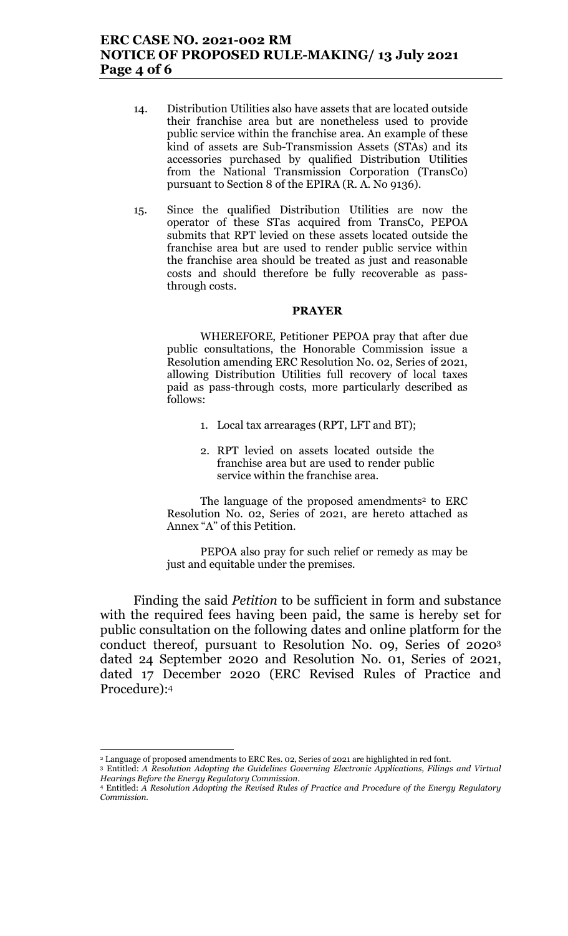- 14. Distribution Utilities also have assets that are located outside their franchise area but are nonetheless used to provide public service within the franchise area. An example of these kind of assets are Sub-Transmission Assets (STAs) and its accessories purchased by qualified Distribution Utilities from the National Transmission Corporation (TransCo) pursuant to Section 8 of the EPIRA (R. A. No 9136).
- 15. Since the qualified Distribution Utilities are now the operator of these STas acquired from TransCo, PEPOA submits that RPT levied on these assets located outside the franchise area but are used to render public service within the franchise area should be treated as just and reasonable costs and should therefore be fully recoverable as passthrough costs.

#### PRAYER

WHEREFORE, Petitioner PEPOA pray that after due public consultations, the Honorable Commission issue a Resolution amending ERC Resolution No. 02, Series of 2021, allowing Distribution Utilities full recovery of local taxes paid as pass-through costs, more particularly described as follows:

- 1. Local tax arrearages (RPT, LFT and BT);
- 2. RPT levied on assets located outside the franchise area but are used to render public service within the franchise area.

The language of the proposed amendments<sup>2</sup> to ERC Resolution No. 02, Series of 2021, are hereto attached as Annex "A" of this Petition.

PEPOA also pray for such relief or remedy as may be just and equitable under the premises.

 Finding the said Petition to be sufficient in form and substance with the required fees having been paid, the same is hereby set for public consultation on the following dates and online platform for the conduct thereof, pursuant to Resolution No. 09, Series 0f 2020<sup>3</sup> dated 24 September 2020 and Resolution No. 01, Series of 2021, dated 17 December 2020 (ERC Revised Rules of Practice and Procedure):<sup>4</sup>

<sup>2</sup> Language of proposed amendments to ERC Res. 02, Series of 2021 are highlighted in red font.

<sup>3</sup> Entitled: A Resolution Adopting the Guidelines Governing Electronic Applications, Filings and Virtual Hearings Before the Energy Regulatory Commission.

<sup>4</sup> Entitled: A Resolution Adopting the Revised Rules of Practice and Procedure of the Energy Regulatory Commission.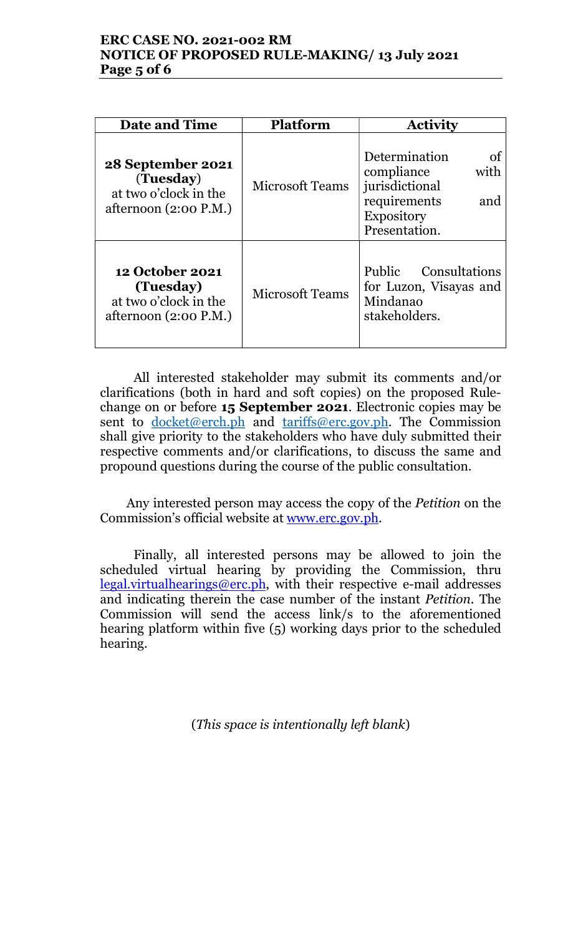# ERC CASE NO. 2021-002 RM NOTICE OF PROPOSED RULE-MAKING/ 13 July 2021 Page 5 of 6

| <b>Date and Time</b>                                                                    | <b>Platform</b>        | <b>Activity</b>                                                                                                          |
|-----------------------------------------------------------------------------------------|------------------------|--------------------------------------------------------------------------------------------------------------------------|
| 28 September 2021<br>(Tuesday)<br>at two o'clock in the<br>afternoon $(2:00 P.M.)$      | <b>Microsoft Teams</b> | Determination<br>οf<br>with<br>compliance<br>jurisdictional<br>requirements<br>and<br><b>Expository</b><br>Presentation. |
| <b>12 October 2021</b><br>(Tuesday)<br>at two o'clock in the<br>afternoon $(2:00 P.M.)$ | <b>Microsoft Teams</b> | Public Consultations<br>for Luzon, Visayas and<br>Mindanao<br>stakeholders.                                              |

All interested stakeholder may submit its comments and/or clarifications (both in hard and soft copies) on the proposed Rulechange on or before 15 September 2021. Electronic copies may be sent to docket@erch.ph and tariffs@erc.gov.ph. The Commission shall give priority to the stakeholders who have duly submitted their respective comments and/or clarifications, to discuss the same and propound questions during the course of the public consultation.

Any interested person may access the copy of the Petition on the Commission's official website at www.erc.gov.ph.

Finally, all interested persons may be allowed to join the scheduled virtual hearing by providing the Commission, thru  $legal.virtualhearings@erc.ph$ , with their respective e-mail addresses and indicating therein the case number of the instant Petition. The Commission will send the access link/s to the aforementioned hearing platform within five (5) working days prior to the scheduled hearing.

(This space is intentionally left blank)